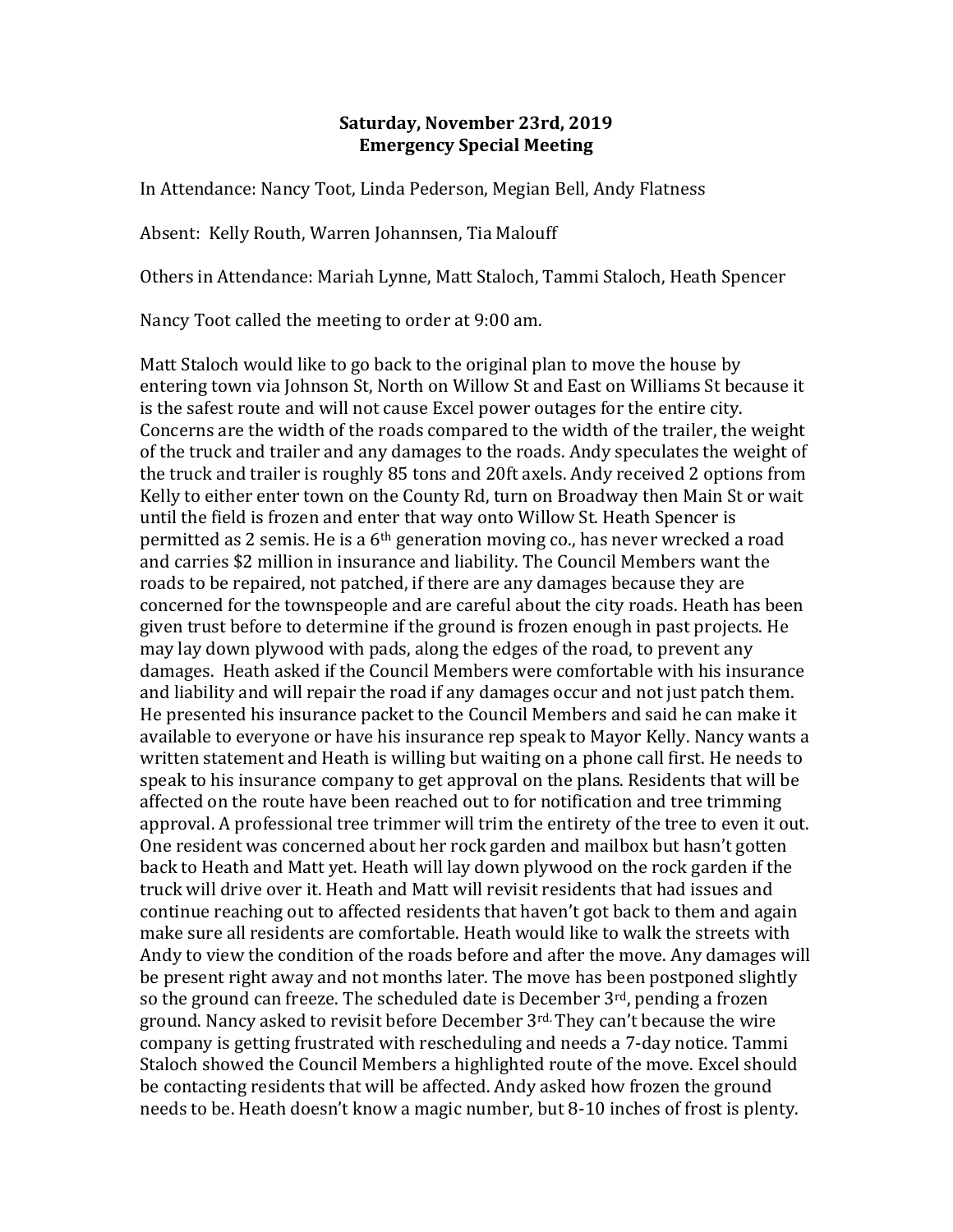## **Saturday, November 23rd, 2019 Emergency Special Meeting**

In Attendance: Nancy Toot, Linda Pederson, Megian Bell, Andy Flatness

Absent: Kelly Routh, Warren Johannsen, Tia Malouff

Others in Attendance: Mariah Lynne, Matt Staloch, Tammi Staloch, Heath Spencer

Nancy Toot called the meeting to order at 9:00 am.

Matt Staloch would like to go back to the original plan to move the house by entering town via Johnson St, North on Willow St and East on Williams St because it is the safest route and will not cause Excel power outages for the entire city. Concerns are the width of the roads compared to the width of the trailer, the weight of the truck and trailer and any damages to the roads. Andy speculates the weight of the truck and trailer is roughly 85 tons and 20ft axels. Andy received 2 options from Kelly to either enter town on the County Rd, turn on Broadway then Main St or wait until the field is frozen and enter that way onto Willow St. Heath Spencer is permitted as 2 semis. He is a  $6<sup>th</sup>$  generation moving co., has never wrecked a road and carries \$2 million in insurance and liability. The Council Members want the roads to be repaired, not patched, if there are any damages because they are concerned for the townspeople and are careful about the city roads. Heath has been given trust before to determine if the ground is frozen enough in past projects. He may lay down plywood with pads, along the edges of the road, to prevent any damages. Heath asked if the Council Members were comfortable with his insurance and liability and will repair the road if any damages occur and not just patch them. He presented his insurance packet to the Council Members and said he can make it available to everyone or have his insurance rep speak to Mayor Kelly. Nancy wants a written statement and Heath is willing but waiting on a phone call first. He needs to speak to his insurance company to get approval on the plans. Residents that will be affected on the route have been reached out to for notification and tree trimming approval. A professional tree trimmer will trim the entirety of the tree to even it out. One resident was concerned about her rock garden and mailbox but hasn't gotten back to Heath and Matt yet. Heath will lay down plywood on the rock garden if the truck will drive over it. Heath and Matt will revisit residents that had issues and continue reaching out to affected residents that haven't got back to them and again make sure all residents are comfortable. Heath would like to walk the streets with Andy to view the condition of the roads before and after the move. Any damages will be present right away and not months later. The move has been postponed slightly so the ground can freeze. The scheduled date is December  $3<sup>rd</sup>$ , pending a frozen ground. Nancy asked to revisit before December 3rd. They can't because the wire company is getting frustrated with rescheduling and needs a 7-day notice. Tammi Staloch showed the Council Members a highlighted route of the move. Excel should be contacting residents that will be affected. Andy asked how frozen the ground needs to be. Heath doesn't know a magic number, but 8-10 inches of frost is plenty.